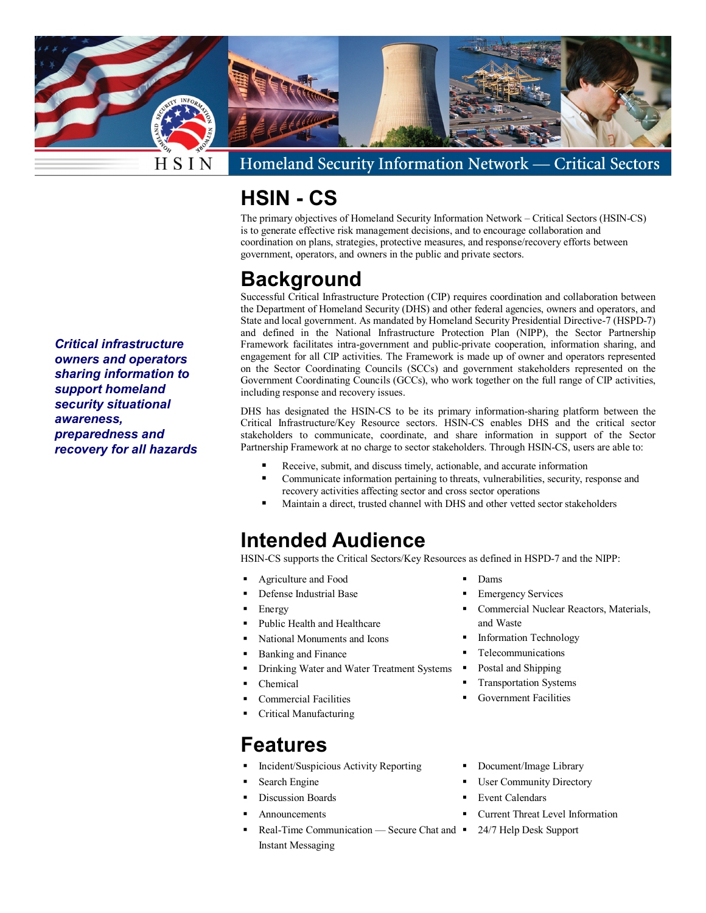

Homeland Security Information Network -**Critical Sectors** 

## **HSIN - CS**

The primary objectives of Homeland Security Information Network – Critical Sectors (HSIN-CS) is to generate effective risk management decisions, and to encourage collaboration and coordination on plans, strategies, protective measures, and response/recovery efforts between government, operators, and owners in the public and private sectors.

### **Background**

Successful Critical Infrastructure Protection (CIP) requires coordination and collaboration between the Department of Homeland Security (DHS) and other federal agencies, owners and operators, and State and local government. As mandated by Homeland Security Presidential Directive-7 (HSPD-7) and defined in the National Infrastructure Protection Plan (NIPP), the Sector Partnership Framework facilitates intra-government and public-private cooperation, information sharing, and engagement for all CIP activities. The Framework is made up of owner and operators represented on the Sector Coordinating Councils (SCCs) and government stakeholders represented on the Government Coordinating Councils (GCCs), who work together on the full range of CIP activities, including response and recovery issues.

DHS has designated the HSIN-CS to be its primary information-sharing platform between the Critical Infrastructure/Key Resource sectors. HSIN-CS enables DHS and the critical sector stakeholders to communicate, coordinate, and share information in support of the Sector Partnership Framework at no charge to sector stakeholders. Through HSIN-CS, users are able to:

- Receive, submit, and discuss timely, actionable, and accurate information
- Communicate information pertaining to threats, vulnerabilities, security, response and recovery activities affecting sector and cross sector operations
- Maintain a direct, trusted channel with DHS and other vetted sector stakeholders

### **Intended Audience**

HSIN-CS supports the Critical Sectors/Key Resources as defined in HSPD-7 and the NIPP:

- Agriculture and Food
- Defense Industrial Base
- Energy
- Public Health and Healthcare
- National Monuments and Icons
- Banking and Finance
- Drinking Water and Water Treatment Systems
- Chemical
- Commercial Facilities
- Critical Manufacturing

#### **Features**

- Incident/Suspicious Activity Reporting
- Search Engine
- Discussion Boards
- Announcements
- Real-Time Communication Secure Chat and 24/7 Help Desk Support Instant Messaging
- Dams
- Emergency Services
- Commercial Nuclear Reactors, Materials, and Waste
- Information Technology
- Telecommunications
- Postal and Shipping
- Transportation Systems
- Government Facilities
- Document/Image Library
- User Community Directory
- Event Calendars
- **Current Threat Level Information** 
	-

*Critical infrastructure owners and operators sharing information to support homeland security situational awareness, preparedness and recovery for all hazards*